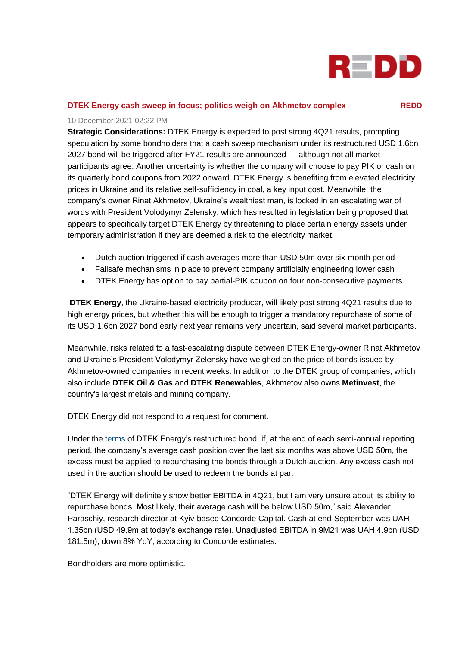

# **[DTEK Energy cash sweep in focus; politics weigh on Akhmetov complex](https://secure-web.cisco.com/1cYk94ZRRe_zFrqlmG0Vautf9LQ6oKF8CjJvZPfVEIgBEcwZajD7HOlcWbpQpaICEJvza0pHTrYBDS8-DjSSB2gj1_3FO0_0JHd9aGaUdUUPWfYx8UgpIJWN8SHhOPuPBQP8yrjLzZxAlDlrzMWx7DhvSyW9JnVaCaSltrv5ZaEx7PIcoLYgRe86U_nW55p8ZlNOCa16ggWMbkGhAoyKPZOLPXic25GxyHC0ezkkm0jBo6vtx6bUyBgZTKDG6YZhLVcs-JiK2i0esX92TgdlcZD_lGnv-7Nyw-Dp5xArWMWYpnsz0YVKduJ1LyRXqYD6J/https%3A%2F%2Fapp.reddintelligence.com%2Fhome%2Fnews%2Fnews120481) REDD**

### 10 December 2021 02:22 PM

**Strategic Considerations:** DTEK Energy is expected to post strong 4Q21 results, prompting speculation by some bondholders that a cash sweep mechanism under its restructured USD 1.6bn 2027 bond will be triggered after FY21 results are announced — although not all market participants agree. Another uncertainty is whether the company will choose to pay PIK or cash on its quarterly bond coupons from 2022 onward. DTEK Energy is benefiting from elevated electricity prices in Ukraine and its relative self-sufficiency in coal, a key input cost. Meanwhile, the company's owner Rinat Akhmetov, Ukraine's wealthiest man, is locked in an escalating war of words with President Volodymyr Zelensky, which has resulted in legislation being proposed that appears to specifically target DTEK Energy by threatening to place certain energy assets under temporary administration if they are deemed a risk to the electricity market.

- Dutch auction triggered if cash averages more than USD 50m over six-month period
- Failsafe mechanisms in place to prevent company artificially engineering lower cash
- DTEK Energy has option to pay partial-PIK coupon on four non-consecutive payments

**DTEK Energy**, the Ukraine-based electricity producer, will likely post strong 4Q21 results due to high energy prices, but whether this will be enough to trigger a mandatory repurchase of some of its USD 1.6bn 2027 bond early next year remains very uncertain, said several market participants.

Meanwhile, risks related to a fast-escalating dispute between DTEK Energy-owner Rinat Akhmetov and Ukraine's President Volodymyr Zelensky have weighed on the price of bonds issued by Akhmetov-owned companies in recent weeks. In addition to the DTEK group of companies, which also include **DTEK Oil & Gas** and **DTEK Renewables**, Akhmetov also owns **Metinvest**, the country's largest metals and mining company.

DTEK Energy did not respond to a request for comment.

Under the [terms](https://secure-web.cisco.com/1KSAGkF713QDjls74YejoZZQtWF_mHbM-aL5VQAbBaJhPzT0Bz3sKD8mXB8RUWc66oAZE65gE12HdckUtF1hQ6-TJ2yAKDVWPXmROs-Osu93E6VR7pCBsu8KovEhql5Kfvr_WUt8radLUtUKx1RuvKyXkfRiSMR60tvIIDU_aqCOKOfYef6-zbi30n5rtXQEYypwQBxvpj69w3enV801FqliBSwbLc8s4T214MgJnPPmfGX1nlGj_7ibJb1NIiBB81Vp2XhFzimbTjtQUNOhTqaXpBWOn_ICj6gWKpjhC7j4CGuQMIGMXdn13qjyUjQVO/https%3A%2F%2Fwww.londonstockexchange.com%2Fnews-article%2FIRSH%2Fdtek-energy-s-cleansing-statment-alteration%2F14860011) of DTEK Energy's restructured bond, if, at the end of each semi-annual reporting period, the company's average cash position over the last six months was above USD 50m, the excess must be applied to repurchasing the bonds through a Dutch auction. Any excess cash not used in the auction should be used to redeem the bonds at par.

"DTEK Energy will definitely show better EBITDA in 4Q21, but I am very unsure about its ability to repurchase bonds. Most likely, their average cash will be below USD 50m," said Alexander Paraschiy, research director at Kyiv-based Concorde Capital. Cash at end-September was UAH 1.35bn (USD 49.9m at today's exchange rate). Unadjusted EBITDA in 9M21 was UAH 4.9bn (USD 181.5m), down 8% YoY, according to Concorde estimates.

Bondholders are more optimistic.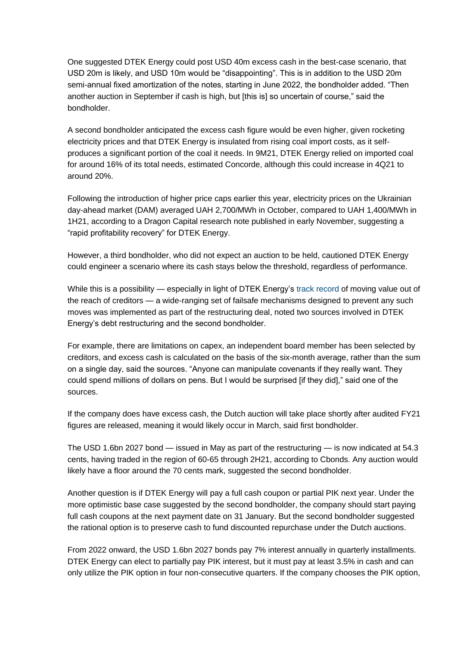One suggested DTEK Energy could post USD 40m excess cash in the best-case scenario, that USD 20m is likely, and USD 10m would be "disappointing". This is in addition to the USD 20m semi-annual fixed amortization of the notes, starting in June 2022, the bondholder added. "Then another auction in September if cash is high, but [this is] so uncertain of course," said the bondholder.

A second bondholder anticipated the excess cash figure would be even higher, given rocketing electricity prices and that DTEK Energy is insulated from rising coal import costs, as it selfproduces a significant portion of the coal it needs. In 9M21, DTEK Energy relied on imported coal for around 16% of its total needs, estimated Concorde, although this could increase in 4Q21 to around 20%.

Following the introduction of higher price caps earlier this year, electricity prices on the Ukrainian day-ahead market (DAM) averaged UAH 2,700/MWh in October, compared to UAH 1,400/MWh in 1H21, according to a Dragon Capital research note published in early November, suggesting a "rapid profitability recovery" for DTEK Energy.

However, a third bondholder, who did not expect an auction to be held, cautioned DTEK Energy could engineer a scenario where its cash stays below the threshold, regardless of performance.

While this is a possibility — especially in light of DTEK Energy's [track record](https://secure-web.cisco.com/1YdKDKzrL7KAYjiUA-6i2FN8r-gNtLQ-VcYjySmvPCCbA4TjIGUreW75jst-TzsERNDqhZCQ8S82tCf8VBeFyPdumg8OT9S_-d47dmztbGEofJCT5Du_7VL5hDvE2d7ZQ-cnDrIGkqsMP2wHZRT0GRmKhJWIt7ydEUEIs6uirJQQ6g43uYpg1N5XSN0AnTdP4PnlmpI5EE779C0_N1XwiDC0Q5fsn65VV8xbihuV7z-YILG_Jj_7fZGL_EEAT8aH6IJYTZvJp1BTzDrXchz76OOQdsgfFGEhU0yXr5kD4NBzyLTzfMLSVQ89tx4gdvZPD/https%3A%2F%2Fapp.reddintelligence.com%2Fhome%2Fnews%2Fnews85294) of moving value out of the reach of creditors — a wide-ranging set of failsafe mechanisms designed to prevent any such moves was implemented as part of the restructuring deal, noted two sources involved in DTEK Energy's debt restructuring and the second bondholder.

For example, there are limitations on capex, an independent board member has been selected by creditors, and excess cash is calculated on the basis of the six-month average, rather than the sum on a single day, said the sources. "Anyone can manipulate covenants if they really want. They could spend millions of dollars on pens. But I would be surprised [if they did]," said one of the sources.

If the company does have excess cash, the Dutch auction will take place shortly after audited FY21 figures are released, meaning it would likely occur in March, said first bondholder.

The USD 1.6bn 2027 bond — issued in May as part of the restructuring — is now indicated at 54.3 cents, having traded in the region of 60-65 through 2H21, according to Cbonds. Any auction would likely have a floor around the 70 cents mark, suggested the second bondholder.

Another question is if DTEK Energy will pay a full cash coupon or partial PIK next year. Under the more optimistic base case suggested by the second bondholder, the company should start paying full cash coupons at the next payment date on 31 January. But the second bondholder suggested the rational option is to preserve cash to fund discounted repurchase under the Dutch auctions.

From 2022 onward, the USD 1.6bn 2027 bonds pay 7% interest annually in quarterly installments. DTEK Energy can elect to partially pay PIK interest, but it must pay at least 3.5% in cash and can only utilize the PIK option in four non-consecutive quarters. If the company chooses the PIK option,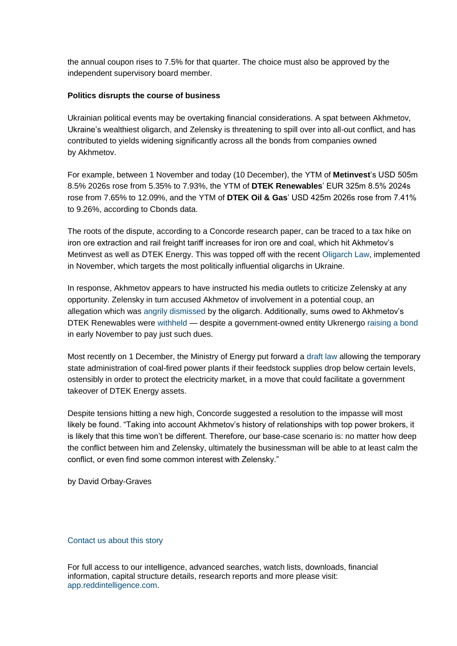the annual coupon rises to 7.5% for that quarter. The choice must also be approved by the independent supervisory board member.

### **Politics disrupts the course of business**

Ukrainian political events may be overtaking financial considerations. A spat between Akhmetov, Ukraine's wealthiest oligarch, and Zelensky is threatening to spill over into all-out conflict, and has contributed to yields widening significantly across all the bonds from companies owned by Akhmetov.

For example, between 1 November and today (10 December), the YTM of **Metinvest**'s USD 505m 8.5% 2026s rose from 5.35% to 7.93%, the YTM of **DTEK Renewables**' EUR 325m 8.5% 2024s rose from 7.65% to 12.09%, and the YTM of **DTEK Oil & Gas**' USD 425m 2026s rose from 7.41% to 9.26%, according to Cbonds data.

The roots of the dispute, according to a Concorde research paper, can be traced to a tax hike on iron ore extraction and rail freight tariff increases for iron ore and coal, which hit Akhmetov's Metinvest as well as DTEK Energy. This was topped off with the recent [Oligarch Law,](https://secure-web.cisco.com/1ced-5kFsBbEeRhKbaTFoF_c8WrweLwZdA4zJcNPJWWHcTdP5rXjXBv_m5DFyLK1cjZLRSRHwKRDqyS-XUdmmte587tmzaUN-hgi9aKvWPmDq6WcnLjkIIlqedCxARFXX243xI4qMWVor74mq6-Mit1XGviZC3L1ukdT-mpjxglL09vUshf-SpwdTx1W6VmLEDxhm8xX1L4Pmtb1YRBvhbO67297FXeCyGhR3djPnzQ1A_Tgw2nOufThavfUA2g0woLFiV2IgFPlkWCh9j-bPyRz_FkuJpY3eBWtWUUJUKamTy8RfdUEvkwXLygNuFR26/https%3A%2F%2Fapp.reddintelligence.com%2Fhome%2Fnews%2Fnews118311) implemented in November, which targets the most politically influential oligarchs in Ukraine.

In response, Akhmetov appears to have instructed his media outlets to criticize Zelensky at any opportunity. Zelensky in turn accused Akhmetov of involvement in a potential coup, an allegation which was [angrily dismissed](https://dtek.com/en/media-center/news/my-position--an-independent-and-united-ukraine-with-the-crimea-and-my-home-region-donbas/) by the oligarch. Additionally, sums owed to Akhmetov's DTEK Renewables were [withheld](https://secure-web.cisco.com/1VCz0_z_JxA--x4NO0Qj0YJHU_UkZNf0QeS-53JJ0KDs8Dr_tafaXztsn3Blsm8FRQzG8zPyvnJymZUvlNmGrM8dACxoIJrrDHNUZJlLzipynobqjlmZce6uDDwbk8qKL5ge260re_mnVerzQxzA1H19WRKIvpWbyuTnIXE3OTCubVGSK-z8mA1H2chBsBWi_GUbKCngb2hl-HbbgfcVnEeNojip29z5jkvZqJ2YCEjBtnkH81WezEXGqX1BbAhMzPfsVIAalRWMp4FGXX_DmgZbWkxXT1SY-R2UIkke03nk_Axc6YlMysk1PNVJRjK7A/https%3A%2F%2Fapp.reddintelligence.com%2Fhome%2Fnews%2Fnews119413%2Fpm) — despite a government-owned entity Ukrenergo [raising a bond](https://secure-web.cisco.com/1GkMjaHLKVJnincPGQ7YMhrxIzaNsubh7IYBtHVE72nhCVSCv3TsBYcpdj8f7brUMC_RgKl_EVM30iCMQE1uLmSZ9YjlII70YcaiRzs7V2gHWD1pZIGSi1wJ19GOHwJWzgAOYhkpqcMIg9B88q3vFDDEQqtKqSdgoT6oU_VkjyzKXIpuCoO-2effxMb0Wa8ZD_s8pDBV-DgaVR8M6Uj1PJhQ9_9Ae3pO1wcBLl4gNQXUtrfA_UeS_Cd7xuB4JGfsPMaK1yxr_3BOjAr0H3L469BaNeI_8bIELRwZiiHTDJHJxN1z-pu89Pjr7zUyu0nLQ/https%3A%2F%2Fapp.reddintelligence.com%2Fhome%2Fnews%2Fnews118122%2Fpm) in early November to pay just such dues.

Most recently on 1 December, the Ministry of Energy put forward a [draft law](http://secure-web.cisco.com/16LJiK-UoWnPjZou_ZC7gCJkbf6zkh5hpO0PNq1xBc9iDTOmN__QvQ74PQ6mxyIjLjKwmN_obC5WGf6nz5Hs1ei0awU8XvwIOG1KNUq46MWl4ij-rYUrSXXUa8ltkFYrSfQg_Mm0ca6bL8rR1H88Ej1-Ly6IMDD_nzqtPLo0lqxijlQHK3yzCNgxXSd5lUSJvaLcDFpmeIvuaaeo5CgflCVGEcceTsKYDmpCSpirMNmrovpdP3ny6XJeOnlADmu-UD-ceISvNV8rCg27QVajSBs93xKg-F2JY0w0QxOVB9llAL0_JXEF4cDSRIIZpBdN9/http%3A%2F%2Fmpe.kmu.gov.ua%2Fminugol%2Fcontrol%2Fuk%2Fpublish%2Farticle%3Fart_id%3D245607053%26cat_id%3D167475) allowing the temporary state administration of coal-fired power plants if their feedstock supplies drop below certain levels, ostensibly in order to protect the electricity market, in a move that could facilitate a government takeover of DTEK Energy assets.

Despite tensions hitting a new high, Concorde suggested a resolution to the impasse will most likely be found. "Taking into account Akhmetov's history of relationships with top power brokers, it is likely that this time won't be different. Therefore, our base-case scenario is: no matter how deep the conflict between him and Zelensky, ultimately the businessman will be able to at least calm the conflict, or even find some common interest with Zelensky."

by David Orbay-Graves

[Contact us about this story](https://secure-web.cisco.com/1MWw8K9HzYtRlvIZO4SS1k5gOg6DSz8hf47w3sSFRyYKtmax6rY6c-JnJWkn0STAHu_fsqSd6lG5bjGOWPS9FTKs1OqZT7dJFcl3ecUxAX08bsWaEb-Kc7Od36Z5jCEkzeWhL-Htsrf_LeXw-Msfrrq-lSnePopdNtCLYwx488j0Ga9MKQyPX_ZMhO6Os1kgJ8BWO-y3GvFzgy5Yg-gK8LbAraL5PHj8jWkSsj8b6A05D9GATjW4NRvMffJHoDC7Mi4mBp8eoYzLZnFHYAZgZ8i4IBPpi9kN_SlKcmNsZsvCq8JBBFsg38vg2NiLv267M/https%3A%2F%2Fapp.reddintelligence.com%2Fcontactus%2Finterest%2Finterest3%2Fstory%2Fstory120481)

For full access to our intelligence, advanced searches, watch lists, downloads, financial information, capital structure details, research reports and more please visit: [app.reddintelligence.com.](https://secure-web.cisco.com/1S8_ZlHas_SyO3Fvb3SMiaCnOXV1PM6QG29ECB9AXe3jwNllGPml5J8YZXOrNxLa-K4-ozE8butc0StlMgxPnqyiT8YpKaxjAm_gWIwnQpaPcYphn9lU_kmkUnaEnLLdhjF6iddmbB1XzlTqLRQ4gHBmQGzVtd46y5b9hJwddsZbhJ0bsIuavJNufjqFFkVhaFQ3a6CtJqj9SDYD_1EDAzpIssRQlPPM2r35Nuj7H-uqM-Y3P2J_vako1dQ5ekJyoGT97F1zkQ5BcAzv_gHKpSkUxXrnKC-iqnNiYhetZlt-q1-Wckj7dJjZR6k2W2Xnr/https%3A%2F%2Fapp.reddintelligence.com)